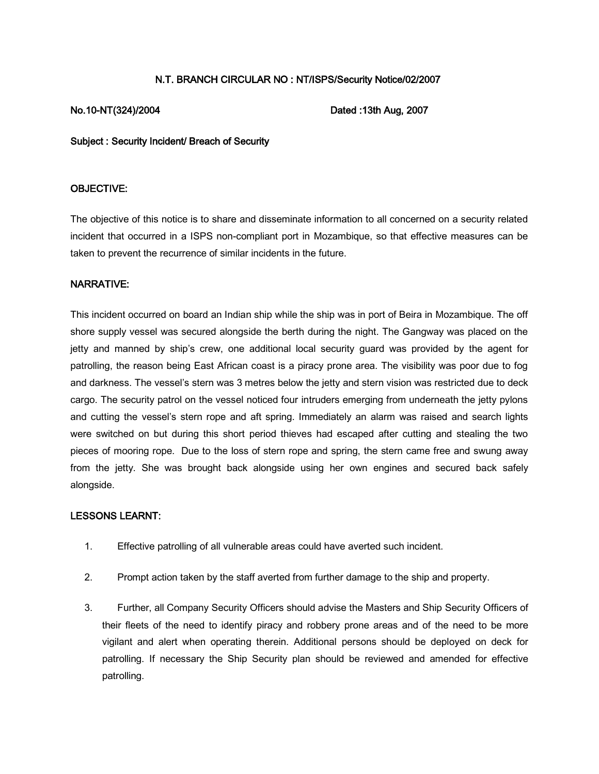# N.T. BRANCH CIRCULAR NO : NT/ISPS/Security Notice/02/2007

No.10-NT(324)/2004 Dated :13th Aug, 2007

Subject : Security Incident/ Breach of Security

## OBJECTIVE:

The objective of this notice is to share and disseminate information to all concerned on a security related incident that occurred in a ISPS non-compliant port in Mozambique, so that effective measures can be taken to prevent the recurrence of similar incidents in the future.

### NARRATIVE:

This incident occurred on board an Indian ship while the ship was in port of Beira in Mozambique. The off shore supply vessel was secured alongside the berth during the night. The Gangway was placed on the jetty and manned by ship's crew, one additional local security guard was provided by the agent for patrolling, the reason being East African coast is a piracy prone area. The visibility was poor due to fog and darkness. The vessel's stern was 3 metres below the jetty and stern vision was restricted due to deck cargo. The security patrol on the vessel noticed four intruders emerging from underneath the jetty pylons and cutting the vessel's stern rope and aft spring. Immediately an alarm was raised and search lights were switched on but during this short period thieves had escaped after cutting and stealing the two pieces of mooring rope. Due to the loss of stern rope and spring, the stern came free and swung away from the jetty. She was brought back alongside using her own engines and secured back safely alongside.

# LESSONS LEARNT:

- 1. Effective patrolling of all vulnerable areas could have averted such incident.
- 2. Prompt action taken by the staff averted from further damage to the ship and property.
- 3. Further, all Company Security Officers should advise the Masters and Ship Security Officers of their fleets of the need to identify piracy and robbery prone areas and of the need to be more vigilant and alert when operating therein. Additional persons should be deployed on deck for patrolling. If necessary the Ship Security plan should be reviewed and amended for effective patrolling.